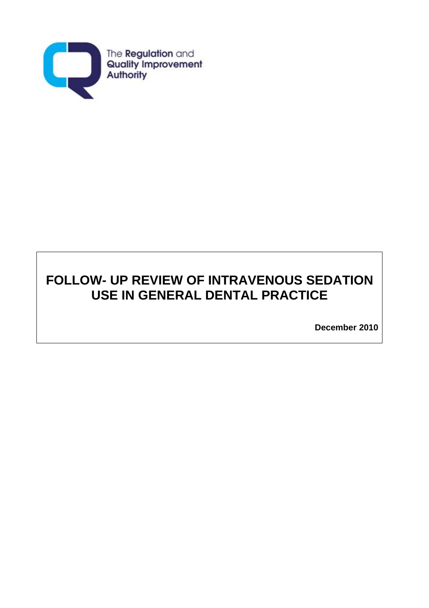

# **FOLLOW- UP REVIEW OF INTRAVENOUS SEDATION USE IN GENERAL DENTAL PRACTICE**

**December 2010**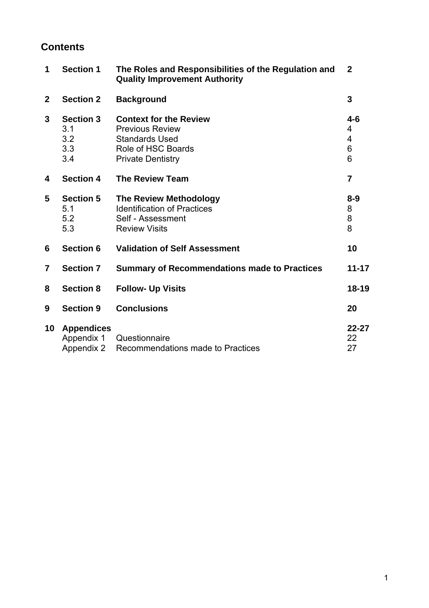## **Contents**

| 1              | <b>Section 1</b>                                     | The Roles and Responsibilities of the Regulation and<br><b>Quality Improvement Authority</b>                                       | $\mathbf{2}$                |
|----------------|------------------------------------------------------|------------------------------------------------------------------------------------------------------------------------------------|-----------------------------|
| $\mathbf{2}$   | <b>Section 2</b>                                     | <b>Background</b>                                                                                                                  | 3                           |
| 3              | <b>Section 3</b><br>3.1<br>3.2<br>3.3<br>3.4         | <b>Context for the Review</b><br><b>Previous Review</b><br><b>Standards Used</b><br>Role of HSC Boards<br><b>Private Dentistry</b> | $4 - 6$<br>4<br>4<br>6<br>6 |
| 4              | <b>Section 4</b>                                     | <b>The Review Team</b>                                                                                                             | $\overline{7}$              |
| 5              | <b>Section 5</b><br>5.1<br>5.2<br>5.3                | <b>The Review Methodology</b><br><b>Identification of Practices</b><br>Self - Assessment<br><b>Review Visits</b>                   | $8 - 9$<br>8<br>8<br>8      |
| 6              | <b>Section 6</b>                                     | <b>Validation of Self Assessment</b>                                                                                               | 10                          |
| $\overline{7}$ | <b>Section 7</b>                                     | <b>Summary of Recommendations made to Practices</b>                                                                                | $11 - 17$                   |
| 8              | <b>Section 8</b>                                     | <b>Follow- Up Visits</b>                                                                                                           | $18 - 19$                   |
| 9              | <b>Section 9</b>                                     | <b>Conclusions</b>                                                                                                                 | 20                          |
| 10             | <b>Appendices</b><br>Appendix 1<br><b>Appendix 2</b> | Questionnaire<br>Recommendations made to Practices                                                                                 | $22 - 27$<br>22<br>27       |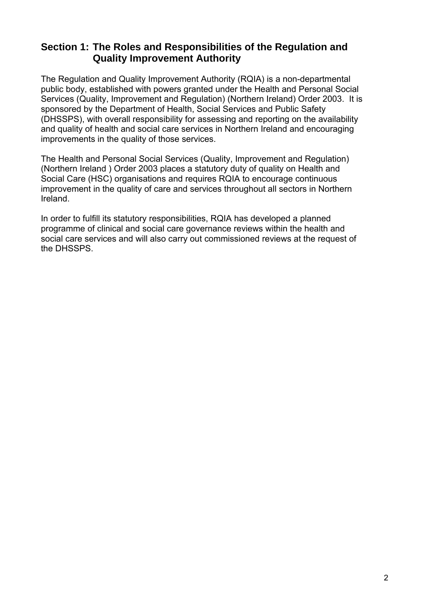## **Section 1: The Roles and Responsibilities of the Regulation and Quality Improvement Authority**

The Regulation and Quality Improvement Authority (RQIA) is a non-departmental public body, established with powers granted under the Health and Personal Social Services (Quality, Improvement and Regulation) (Northern Ireland) Order 2003. It is sponsored by the Department of Health, Social Services and Public Safety (DHSSPS), with overall responsibility for assessing and reporting on the availability and quality of health and social care services in Northern Ireland and encouraging improvements in the quality of those services.

The Health and Personal Social Services (Quality, Improvement and Regulation) (Northern Ireland ) Order 2003 places a statutory duty of quality on Health and Social Care (HSC) organisations and requires RQIA to encourage continuous improvement in the quality of care and services throughout all sectors in Northern Ireland.

In order to fulfill its statutory responsibilities, RQIA has developed a planned programme of clinical and social care governance reviews within the health and social care services and will also carry out commissioned reviews at the request of the DHSSPS.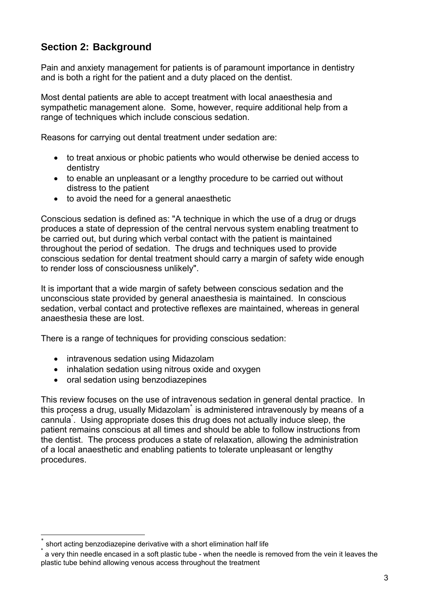# **Section 2: Background**

Pain and anxiety management for patients is of paramount importance in dentistry and is both a right for the patient and a duty placed on the dentist.

Most dental patients are able to accept treatment with local anaesthesia and sympathetic management alone. Some, however, require additional help from a range of techniques which include conscious sedation.

Reasons for carrying out dental treatment under sedation are:

- to treat anxious or phobic patients who would otherwise be denied access to dentistry
- to enable an unpleasant or a lengthy procedure to be carried out without distress to the patient
- to avoid the need for a general anaesthetic

Conscious sedation is defined as: "A technique in which the use of a drug or drugs produces a state of depression of the central nervous system enabling treatment to be carried out, but during which verbal contact with the patient is maintained throughout the period of sedation. The drugs and techniques used to provide conscious sedation for dental treatment should carry a margin of safety wide enough to render loss of consciousness unlikely".

It is important that a wide margin of safety between conscious sedation and the unconscious state provided by general anaesthesia is maintained. In conscious sedation, verbal contact and protective reflexes are maintained, whereas in general anaesthesia these are lost.

There is a range of techniques for providing conscious sedation:

- intravenous sedation using Midazolam
- inhalation sedation using nitrous oxide and oxygen
- oral sedation using benzodiazepines

This review focuses on the use of intravenous sedation in general dental practice. In this process a drug, usually Midazolam<sup>\*</sup> is administered intravenously by means of a cannula<sup>\*</sup>. Using appropriate doses this drug does not actually induce sleep, the patient remains conscious at all times and should be able to follow instructions from the dentist. The process produces a state of relaxation, allowing the administration of a local anaesthetic and enabling patients to tolerate unpleasant or lengthy procedures.

 $\overline{a}$ 

<sup>٭</sup> short acting benzodiazepine derivative with a short elimination half life

<sup>\*</sup> a very thin needle encased in a soft plastic tube - when the needle is removed from the vein it leaves the plastic tube behind allowing venous access throughout the treatment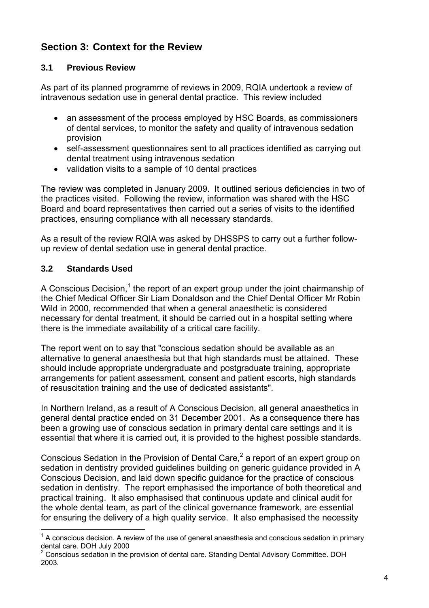# **Section 3: Context for the Review**

### **3.1 Previous Review**

As part of its planned programme of reviews in 2009, RQIA undertook a review of intravenous sedation use in general dental practice. This review included

- an assessment of the process employed by HSC Boards, as commissioners of dental services, to monitor the safety and quality of intravenous sedation provision
- self-assessment questionnaires sent to all practices identified as carrying out dental treatment using intravenous sedation
- validation visits to a sample of 10 dental practices

The review was completed in January 2009. It outlined serious deficiencies in two of the practices visited. Following the review, information was shared with the HSC Board and board representatives then carried out a series of visits to the identified practices, ensuring compliance with all necessary standards.

As a result of the review RQIA was asked by DHSSPS to carry out a further followup review of dental sedation use in general dental practice.

### **3.2 Standards Used**

 $\overline{a}$ 

A Conscious Decision.<sup>1</sup> the report of an expert group under the joint chairmanship of the Chief Medical Officer Sir Liam Donaldson and the Chief Dental Officer Mr Robin Wild in 2000, recommended that when a general anaesthetic is considered necessary for dental treatment, it should be carried out in a hospital setting where there is the immediate availability of a critical care facility.

The report went on to say that "conscious sedation should be available as an alternative to general anaesthesia but that high standards must be attained. These should include appropriate undergraduate and postgraduate training, appropriate arrangements for patient assessment, consent and patient escorts, high standards of resuscitation training and the use of dedicated assistants".

In Northern Ireland, as a result of A Conscious Decision, all general anaesthetics in general dental practice ended on 31 December 2001. As a consequence there has been a growing use of conscious sedation in primary dental care settings and it is essential that where it is carried out, it is provided to the highest possible standards.

Conscious Sedation in the Provision of Dental Care.<sup>2</sup> a report of an expert group on sedation in dentistry provided guidelines building on generic guidance provided in A Conscious Decision, and laid down specific guidance for the practice of conscious sedation in dentistry. The report emphasised the importance of both theoretical and practical training. It also emphasised that continuous update and clinical audit for the whole dental team, as part of the clinical governance framework, are essential for ensuring the delivery of a high quality service. It also emphasised the necessity

 $1$  A conscious decision. A review of the use of general anaesthesia and conscious sedation in primary dental care. DOH July 2000

<sup>2</sup> Conscious sedation in the provision of dental care. Standing Dental Advisory Committee. DOH 2003.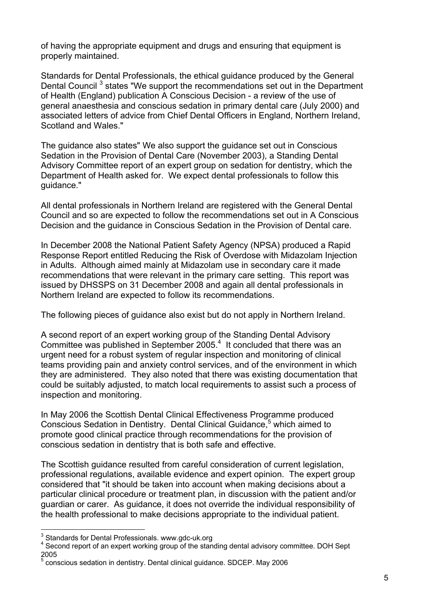of having the appropriate equipment and drugs and ensuring that equipment is properly maintained.

Standards for Dental Professionals, the ethical guidance produced by the General Dental Council<sup>3</sup> states "We support the recommendations set out in the Department of Health (England) publication A Conscious Decision - a review of the use of general anaesthesia and conscious sedation in primary dental care (July 2000) and associated letters of advice from Chief Dental Officers in England, Northern Ireland, Scotland and Wales."

The guidance also states" We also support the guidance set out in Conscious Sedation in the Provision of Dental Care (November 2003), a Standing Dental Advisory Committee report of an expert group on sedation for dentistry, which the Department of Health asked for. We expect dental professionals to follow this guidance."

All dental professionals in Northern Ireland are registered with the General Dental Council and so are expected to follow the recommendations set out in A Conscious Decision and the guidance in Conscious Sedation in the Provision of Dental care.

In December 2008 the National Patient Safety Agency (NPSA) produced a Rapid Response Report entitled Reducing the Risk of Overdose with Midazolam Injection in Adults. Although aimed mainly at Midazolam use in secondary care it made recommendations that were relevant in the primary care setting. This report was issued by DHSSPS on 31 December 2008 and again all dental professionals in Northern Ireland are expected to follow its recommendations.

The following pieces of guidance also exist but do not apply in Northern Ireland.

A second report of an expert working group of the Standing Dental Advisory Committee was published in September 2005. $4$  It concluded that there was an urgent need for a robust system of regular inspection and monitoring of clinical teams providing pain and anxiety control services, and of the environment in which they are administered. They also noted that there was existing documentation that could be suitably adjusted, to match local requirements to assist such a process of inspection and monitoring.

In May 2006 the Scottish Dental Clinical Effectiveness Programme produced Conscious Sedation in Dentistry. Dental Clinical Guidance,<sup>5</sup> which aimed to promote good clinical practice through recommendations for the provision of conscious sedation in dentistry that is both safe and effective.

The Scottish guidance resulted from careful consideration of current legislation, professional regulations, available evidence and expert opinion. The expert group considered that "it should be taken into account when making decisions about a particular clinical procedure or treatment plan, in discussion with the patient and/or guardian or carer. As guidance, it does not override the individual responsibility of the health professional to make decisions appropriate to the individual patient.

 $\overline{a}$ 

 $3$  Standards for Dental Professionals. www.gdc-uk.org

<sup>&</sup>lt;sup>4</sup> Second report of an expert working group of the standing dental advisory committee. DOH Sept 2005

<sup>&</sup>lt;sup>5</sup> conscious sedation in dentistry. Dental clinical guidance. SDCEP. May 2006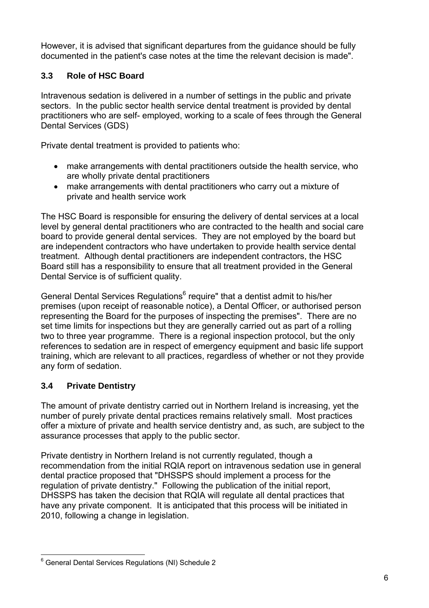However, it is advised that significant departures from the guidance should be fully documented in the patient's case notes at the time the relevant decision is made".

### **3.3 Role of HSC Board**

Intravenous sedation is delivered in a number of settings in the public and private sectors. In the public sector health service dental treatment is provided by dental practitioners who are self- employed, working to a scale of fees through the General Dental Services (GDS)

Private dental treatment is provided to patients who:

- make arrangements with dental practitioners outside the health service, who are wholly private dental practitioners
- make arrangements with dental practitioners who carry out a mixture of private and health service work

The HSC Board is responsible for ensuring the delivery of dental services at a local level by general dental practitioners who are contracted to the health and social care board to provide general dental services. They are not employed by the board but are independent contractors who have undertaken to provide health service dental treatment. Although dental practitioners are independent contractors, the HSC Board still has a responsibility to ensure that all treatment provided in the General Dental Service is of sufficient quality.

General Dental Services Regulations<sup>6</sup> require" that a dentist admit to his/her premises (upon receipt of reasonable notice), a Dental Officer, or authorised person representing the Board for the purposes of inspecting the premises". There are no set time limits for inspections but they are generally carried out as part of a rolling two to three year programme. There is a regional inspection protocol, but the only references to sedation are in respect of emergency equipment and basic life support training, which are relevant to all practices, regardless of whether or not they provide any form of sedation.

## **3.4 Private Dentistry**

The amount of private dentistry carried out in Northern Ireland is increasing, yet the number of purely private dental practices remains relatively small. Most practices offer a mixture of private and health service dentistry and, as such, are subject to the assurance processes that apply to the public sector.

Private dentistry in Northern Ireland is not currently regulated, though a recommendation from the initial RQIA report on intravenous sedation use in general dental practice proposed that "DHSSPS should implement a process for the regulation of private dentistry." Following the publication of the initial report, DHSSPS has taken the decision that RQIA will regulate all dental practices that have any private component. It is anticipated that this process will be initiated in 2010, following a change in legislation.

 $\overline{a}$ <sup>6</sup> General Dental Services Regulations (NI) Schedule 2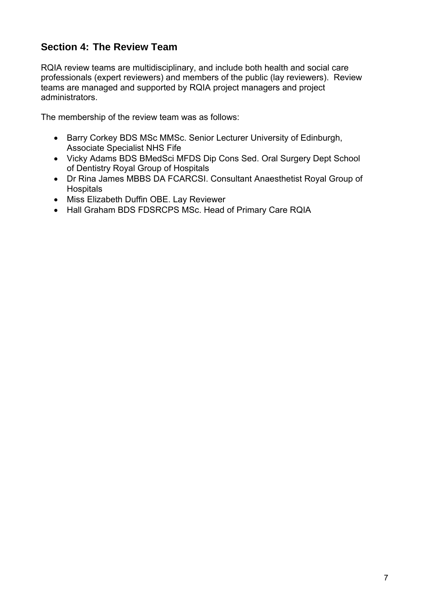# **Section 4: The Review Team**

RQIA review teams are multidisciplinary, and include both health and social care professionals (expert reviewers) and members of the public (lay reviewers). Review teams are managed and supported by RQIA project managers and project administrators.

The membership of the review team was as follows:

- Barry Corkey BDS MSc MMSc. Senior Lecturer University of Edinburgh, Associate Specialist NHS Fife
- Vicky Adams BDS BMedSci MFDS Dip Cons Sed. Oral Surgery Dept School of Dentistry Royal Group of Hospitals
- Dr Rina James MBBS DA FCARCSI. Consultant Anaesthetist Royal Group of **Hospitals**
- Miss Elizabeth Duffin OBE. Lay Reviewer
- Hall Graham BDS FDSRCPS MSc. Head of Primary Care RQIA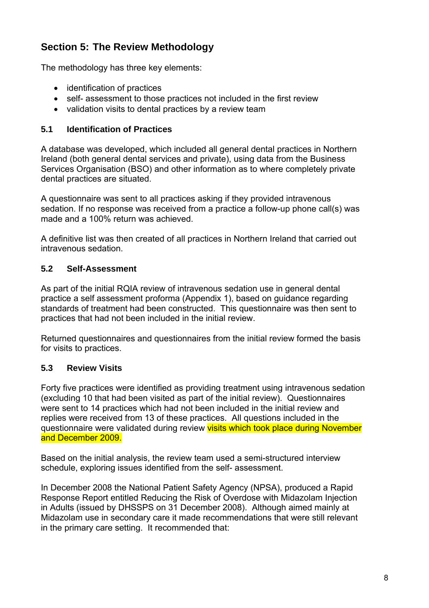# **Section 5: The Review Methodology**

The methodology has three key elements:

- identification of practices
- self- assessment to those practices not included in the first review
- validation visits to dental practices by a review team

#### **5.1 Identification of Practices**

A database was developed, which included all general dental practices in Northern Ireland (both general dental services and private), using data from the Business Services Organisation (BSO) and other information as to where completely private dental practices are situated.

A questionnaire was sent to all practices asking if they provided intravenous sedation. If no response was received from a practice a follow-up phone call(s) was made and a 100% return was achieved.

A definitive list was then created of all practices in Northern Ireland that carried out intravenous sedation.

#### **5.2 Self-Assessment**

As part of the initial RQIA review of intravenous sedation use in general dental practice a self assessment proforma (Appendix 1), based on guidance regarding standards of treatment had been constructed. This questionnaire was then sent to practices that had not been included in the initial review.

Returned questionnaires and questionnaires from the initial review formed the basis for visits to practices.

#### **5.3 Review Visits**

Forty five practices were identified as providing treatment using intravenous sedation (excluding 10 that had been visited as part of the initial review). Questionnaires were sent to 14 practices which had not been included in the initial review and replies were received from 13 of these practices. All questions included in the questionnaire were validated during review visits which took place during November and December 2009.

Based on the initial analysis, the review team used a semi-structured interview schedule, exploring issues identified from the self- assessment.

In December 2008 the National Patient Safety Agency (NPSA), produced a Rapid Response Report entitled Reducing the Risk of Overdose with Midazolam Injection in Adults (issued by DHSSPS on 31 December 2008). Although aimed mainly at Midazolam use in secondary care it made recommendations that were still relevant in the primary care setting. It recommended that: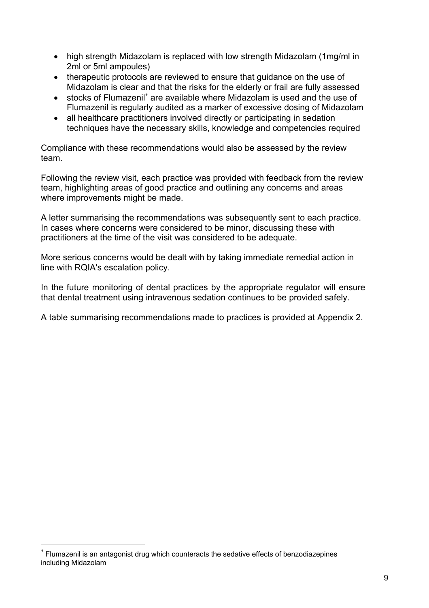- high strength Midazolam is replaced with low strength Midazolam (1mg/ml in 2ml or 5ml ampoules)
- therapeutic protocols are reviewed to ensure that guidance on the use of Midazolam is clear and that the risks for the elderly or frail are fully assessed
- stocks of Flumazenil<sup>\*</sup> are available where Midazolam is used and the use of Flumazenil is regularly audited as a marker of excessive dosing of Midazolam
- all healthcare practitioners involved directly or participating in sedation techniques have the necessary skills, knowledge and competencies required

Compliance with these recommendations would also be assessed by the review team.

Following the review visit, each practice was provided with feedback from the review team, highlighting areas of good practice and outlining any concerns and areas where improvements might be made.

A letter summarising the recommendations was subsequently sent to each practice. In cases where concerns were considered to be minor, discussing these with practitioners at the time of the visit was considered to be adequate.

More serious concerns would be dealt with by taking immediate remedial action in line with RQIA's escalation policy.

In the future monitoring of dental practices by the appropriate regulator will ensure that dental treatment using intravenous sedation continues to be provided safely.

A table summarising recommendations made to practices is provided at Appendix 2.

 $\overline{a}$ 

<sup>∗</sup> Flumazenil is an antagonist drug which counteracts the sedative effects of benzodiazepines including Midazolam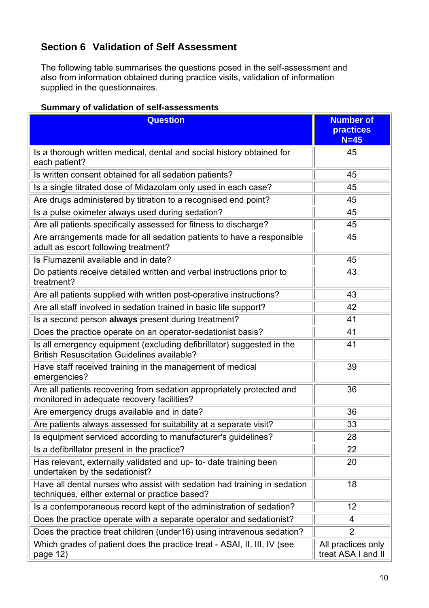# **Section 6 Validation of Self Assessment**

The following table summarises the questions posed in the self-assessment and also from information obtained during practice visits, validation of information supplied in the questionnaires.

#### **Summary of validation of self-assessments**

| <b>Question</b>                                                                                                             | <b>Number of</b><br><b>practices</b><br>$N=45$ |
|-----------------------------------------------------------------------------------------------------------------------------|------------------------------------------------|
| Is a thorough written medical, dental and social history obtained for<br>each patient?                                      | 45                                             |
| Is written consent obtained for all sedation patients?                                                                      | 45                                             |
| Is a single titrated dose of Midazolam only used in each case?                                                              | 45                                             |
| Are drugs administered by titration to a recognised end point?                                                              | 45                                             |
| Is a pulse oximeter always used during sedation?                                                                            | 45                                             |
| Are all patients specifically assessed for fitness to discharge?                                                            | 45                                             |
| Are arrangements made for all sedation patients to have a responsible<br>adult as escort following treatment?               | 45                                             |
| Is Flumazenil available and in date?                                                                                        | 45                                             |
| Do patients receive detailed written and verbal instructions prior to<br>treatment?                                         | 43                                             |
| Are all patients supplied with written post-operative instructions?                                                         | 43                                             |
| Are all staff involved in sedation trained in basic life support?                                                           | 42                                             |
| Is a second person always present during treatment?                                                                         | 41                                             |
| Does the practice operate on an operator-sedationist basis?                                                                 | 41                                             |
| Is all emergency equipment (excluding defibrillator) suggested in the<br><b>British Resuscitation Guidelines available?</b> | 41                                             |
| Have staff received training in the management of medical<br>emergencies?                                                   | 39                                             |
| Are all patients recovering from sedation appropriately protected and<br>monitored in adequate recovery facilities?         | 36                                             |
| Are emergency drugs available and in date?                                                                                  | 36                                             |
| Are patients always assessed for suitability at a separate visit?                                                           | 33                                             |
| Is equipment serviced according to manufacturer's guidelines?                                                               | 28                                             |
| Is a defibrillator present in the practice?                                                                                 | 22                                             |
| Has relevant, externally validated and up- to- date training been<br>undertaken by the sedationist?                         | 20                                             |
| Have all dental nurses who assist with sedation had training in sedation<br>techniques, either external or practice based?  | 18                                             |
| Is a contemporaneous record kept of the administration of sedation?                                                         | $12 \overline{ }$                              |
| Does the practice operate with a separate operator and sedationist?                                                         | 4                                              |
| Does the practice treat children (under16) using intravenous sedation?                                                      | $\overline{2}$                                 |
| Which grades of patient does the practice treat - ASAI, II, III, IV (see<br>page 12)                                        | All practices only<br>treat ASA I and II       |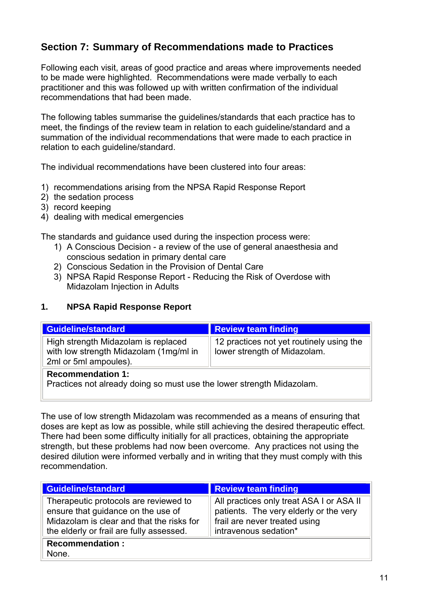# **Section 7: Summary of Recommendations made to Practices**

Following each visit, areas of good practice and areas where improvements needed to be made were highlighted. Recommendations were made verbally to each practitioner and this was followed up with written confirmation of the individual recommendations that had been made.

The following tables summarise the guidelines/standards that each practice has to meet, the findings of the review team in relation to each guideline/standard and a summation of the individual recommendations that were made to each practice in relation to each guideline/standard.

The individual recommendations have been clustered into four areas:

- 1) recommendations arising from the NPSA Rapid Response Report
- 2) the sedation process
- 3) record keeping

L

4) dealing with medical emergencies

The standards and guidance used during the inspection process were:

- 1) A Conscious Decision a review of the use of general anaesthesia and conscious sedation in primary dental care
- 2) Conscious Sedation in the Provision of Dental Care
- 3) NPSA Rapid Response Report Reducing the Risk of Overdose with Midazolam Injection in Adults

#### **1. NPSA Rapid Response Report**

| <b>Guideline/standard</b>                                                                              | <b>Review team finding</b>                                               |  |
|--------------------------------------------------------------------------------------------------------|--------------------------------------------------------------------------|--|
| High strength Midazolam is replaced<br>with low strength Midazolam (1mg/ml in<br>2ml or 5ml ampoules). | 12 practices not yet routinely using the<br>lower strength of Midazolam. |  |
| <b>Recommendation 1:</b><br>Practices not already doing so must use the lower strength Midazolam.      |                                                                          |  |

The use of low strength Midazolam was recommended as a means of ensuring that doses are kept as low as possible, while still achieving the desired therapeutic effect. There had been some difficulty initially for all practices, obtaining the appropriate strength, but these problems had now been overcome. Any practices not using the desired dilution were informed verbally and in writing that they must comply with this recommendation.

| <b>Guideline/standard</b>                                                                                                                                            | Review team finding                                                                                                                          |  |
|----------------------------------------------------------------------------------------------------------------------------------------------------------------------|----------------------------------------------------------------------------------------------------------------------------------------------|--|
| Therapeutic protocols are reviewed to<br>ensure that guidance on the use of<br>Midazolam is clear and that the risks for<br>the elderly or frail are fully assessed. | All practices only treat ASA I or ASA II<br>patients. The very elderly or the very<br>frail are never treated using<br>intravenous sedation* |  |
| <b>Recommendation:</b><br>None.                                                                                                                                      |                                                                                                                                              |  |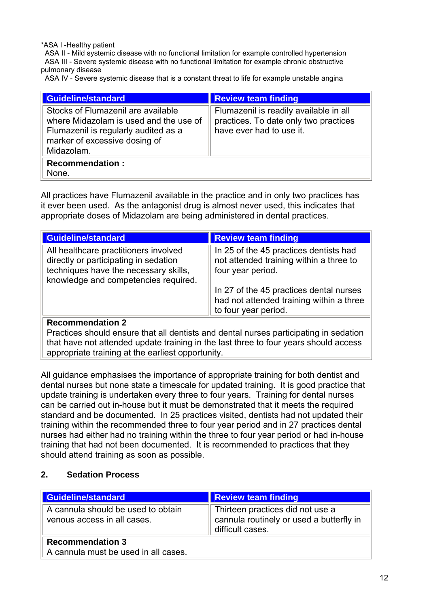\*ASA I -Healthy patient

 ASA II - Mild systemic disease with no functional limitation for example controlled hypertension ASA III - Severe systemic disease with no functional limitation for example chronic obstructive pulmonary disease

ASA IV - Severe systemic disease that is a constant threat to life for example unstable angina

| Guideline/standard                                                                                                                                                  | <b>Review team finding</b>                                                                                  |  |
|---------------------------------------------------------------------------------------------------------------------------------------------------------------------|-------------------------------------------------------------------------------------------------------------|--|
| Stocks of Flumazenil are available<br>where Midazolam is used and the use of<br>Flumazenil is regularly audited as a<br>marker of excessive dosing of<br>Midazolam. | Flumazenil is readily available in all<br>practices. To date only two practices<br>have ever had to use it. |  |
| <b>Recommendation:</b><br>None.                                                                                                                                     |                                                                                                             |  |

All practices have Flumazenil available in the practice and in only two practices has it ever been used. As the antagonist drug is almost never used, this indicates that appropriate doses of Midazolam are being administered in dental practices.

| <b>Guideline/standard</b>                                                                                                                                       | <b>Review team finding</b>                                                                                  |  |
|-----------------------------------------------------------------------------------------------------------------------------------------------------------------|-------------------------------------------------------------------------------------------------------------|--|
| All healthcare practitioners involved<br>directly or participating in sedation<br>techniques have the necessary skills,<br>knowledge and competencies required. | In 25 of the 45 practices dentists had<br>not attended training within a three to<br>four year period.      |  |
|                                                                                                                                                                 | In 27 of the 45 practices dental nurses<br>had not attended training within a three<br>to four year period. |  |
| <b>Recommendation 2</b>                                                                                                                                         |                                                                                                             |  |

Practices should ensure that all dentists and dental nurses participating in sedation that have not attended update training in the last three to four years should access appropriate training at the earliest opportunity.

All guidance emphasises the importance of appropriate training for both dentist and dental nurses but none state a timescale for updated training. It is good practice that update training is undertaken every three to four years. Training for dental nurses can be carried out in-house but it must be demonstrated that it meets the required standard and be documented. In 25 practices visited, dentists had not updated their training within the recommended three to four year period and in 27 practices dental nurses had either had no training within the three to four year period or had in-house training that had not been documented. It is recommended to practices that they should attend training as soon as possible.

#### **2. Sedation Process**

| <b>Guideline/standard</b>                                         | Review team finding                                                                              |  |
|-------------------------------------------------------------------|--------------------------------------------------------------------------------------------------|--|
| A cannula should be used to obtain<br>venous access in all cases. | Thirteen practices did not use a<br>cannula routinely or used a butterfly in<br>difficult cases. |  |
| <b>Recommendation 3</b><br>A cannula must be used in all cases.   |                                                                                                  |  |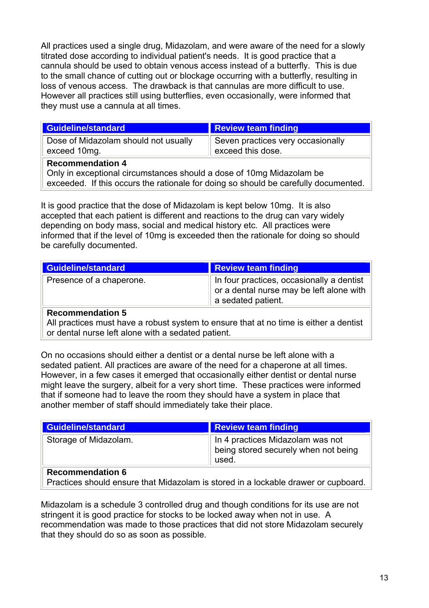All practices used a single drug, Midazolam, and were aware of the need for a slowly titrated dose according to individual patient's needs. It is good practice that a cannula should be used to obtain venous access instead of a butterfly. This is due to the small chance of cutting out or blockage occurring with a butterfly, resulting in loss of venous access. The drawback is that cannulas are more difficult to use. However all practices still using butterflies, even occasionally, were informed that they must use a cannula at all times.

| <b>Guideline/standard</b>                                                                                                                                                              | <b>Review team finding</b>                             |  |
|----------------------------------------------------------------------------------------------------------------------------------------------------------------------------------------|--------------------------------------------------------|--|
| Dose of Midazolam should not usually<br>exceed 10mg.                                                                                                                                   | Seven practices very occasionally<br>exceed this dose. |  |
| <b>Recommendation 4</b><br>Only in exceptional circumstances should a dose of 10mg Midazolam be<br>exceeded. If this occurs the rationale for doing so should be carefully documented. |                                                        |  |

It is good practice that the dose of Midazolam is kept below 10mg. It is also accepted that each patient is different and reactions to the drug can vary widely depending on body mass, social and medical history etc. All practices were informed that if the level of 10mg is exceeded then the rationale for doing so should be carefully documented.

| <b>Guideline/standard</b> | <b>Review team finding</b>                                                                                  |
|---------------------------|-------------------------------------------------------------------------------------------------------------|
| Presence of a chaperone.  | In four practices, occasionally a dentist<br>or a dental nurse may be left alone with<br>a sedated patient. |
| <b>Recommendation 5</b>   |                                                                                                             |

#### All practices must have a robust system to ensure that at no time is either a dentist or dental nurse left alone with a sedated patient.

On no occasions should either a dentist or a dental nurse be left alone with a sedated patient. All practices are aware of the need for a chaperone at all times. However, in a few cases it emerged that occasionally either dentist or dental nurse might leave the surgery, albeit for a very short time. These practices were informed that if someone had to leave the room they should have a system in place that another member of staff should immediately take their place.

| <b>Guideline/standard</b> | Review team finding                                                               |
|---------------------------|-----------------------------------------------------------------------------------|
| Storage of Midazolam.     | In 4 practices Midazolam was not<br>being stored securely when not being<br>used. |
| <b>Recommendation 6</b>   |                                                                                   |

### Practices should ensure that Midazolam is stored in a lockable drawer or cupboard.

Midazolam is a schedule 3 controlled drug and though conditions for its use are not stringent it is good practice for stocks to be locked away when not in use. A recommendation was made to those practices that did not store Midazolam securely that they should do so as soon as possible.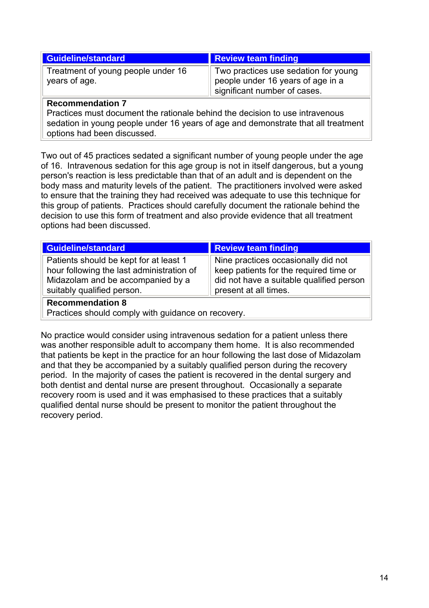| <b>Guideline/standard</b>                           | Review team finding                                                                                         |
|-----------------------------------------------------|-------------------------------------------------------------------------------------------------------------|
| Treatment of young people under 16<br>years of age. | Two practices use sedation for young<br>people under 16 years of age in a<br>I significant number of cases. |

#### **Recommendation 7**

Practices must document the rationale behind the decision to use intravenous sedation in young people under 16 years of age and demonstrate that all treatment options had been discussed.

Two out of 45 practices sedated a significant number of young people under the age of 16. Intravenous sedation for this age group is not in itself dangerous, but a young person's reaction is less predictable than that of an adult and is dependent on the body mass and maturity levels of the patient. The practitioners involved were asked to ensure that the training they had received was adequate to use this technique for this group of patients. Practices should carefully document the rationale behind the decision to use this form of treatment and also provide evidence that all treatment options had been discussed.

| Guideline/standard                                                                                                                                     | <b>Review team finding</b>                                                                                                                         |
|--------------------------------------------------------------------------------------------------------------------------------------------------------|----------------------------------------------------------------------------------------------------------------------------------------------------|
| Patients should be kept for at least 1<br>hour following the last administration of<br>Midazolam and be accompanied by a<br>suitably qualified person. | Nine practices occasionally did not<br>keep patients for the required time or<br>did not have a suitable qualified person<br>present at all times. |
|                                                                                                                                                        |                                                                                                                                                    |

#### **Recommendation 8**

Practices should comply with guidance on recovery.

No practice would consider using intravenous sedation for a patient unless there was another responsible adult to accompany them home. It is also recommended that patients be kept in the practice for an hour following the last dose of Midazolam and that they be accompanied by a suitably qualified person during the recovery period. In the majority of cases the patient is recovered in the dental surgery and both dentist and dental nurse are present throughout. Occasionally a separate recovery room is used and it was emphasised to these practices that a suitably qualified dental nurse should be present to monitor the patient throughout the recovery period.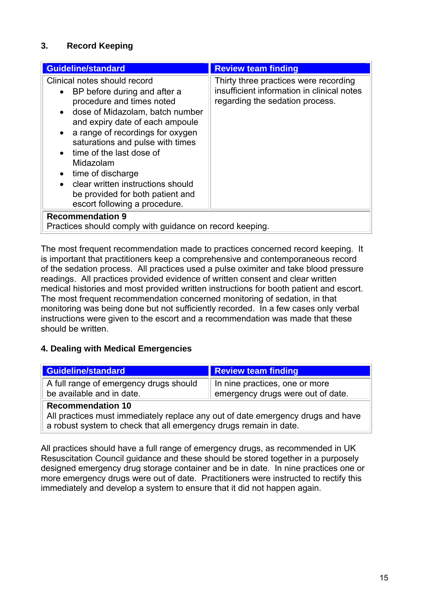### **3. Record Keeping**

| <b>Guideline/standard</b>                                                                                                                                                                                                                                                                                                                                                                                                                                             | <b>Review team finding</b>                                                                                             |  |  |
|-----------------------------------------------------------------------------------------------------------------------------------------------------------------------------------------------------------------------------------------------------------------------------------------------------------------------------------------------------------------------------------------------------------------------------------------------------------------------|------------------------------------------------------------------------------------------------------------------------|--|--|
| Clinical notes should record<br>BP before during and after a<br>$\bullet$<br>procedure and times noted<br>• dose of Midazolam, batch number<br>and expiry date of each ampoule<br>a range of recordings for oxygen<br>$\bullet$<br>saturations and pulse with times<br>time of the last dose of<br>Midazolam<br>time of discharge<br>$\bullet$<br>clear written instructions should<br>$\bullet$<br>be provided for both patient and<br>escort following a procedure. | Thirty three practices were recording<br>insufficient information in clinical notes<br>regarding the sedation process. |  |  |
| <b>Recommendation 9</b><br>Practices should comply with guidance on record keeping.                                                                                                                                                                                                                                                                                                                                                                                   |                                                                                                                        |  |  |

The most frequent recommendation made to practices concerned record keeping. It is important that practitioners keep a comprehensive and contemporaneous record of the sedation process. All practices used a pulse oximiter and take blood pressure readings. All practices provided evidence of written consent and clear written medical histories and most provided written instructions for booth patient and escort. The most frequent recommendation concerned monitoring of sedation, in that monitoring was being done but not sufficiently recorded. In a few cases only verbal instructions were given to the escort and a recommendation was made that these should be written.

#### **4. Dealing with Medical Emergencies**

| <b>Guideline/standard</b>                                           | <b>Review team finding</b>                                          |
|---------------------------------------------------------------------|---------------------------------------------------------------------|
| A full range of emergency drugs should<br>be available and in date. | In nine practices, one or more<br>emergency drugs were out of date. |
| <b>Recommendation 10</b>                                            |                                                                     |

All practices must immediately replace any out of date emergency drugs and have a robust system to check that all emergency drugs remain in date.

All practices should have a full range of emergency drugs, as recommended in UK Resuscitation Council guidance and these should be stored together in a purposely designed emergency drug storage container and be in date. In nine practices one or more emergency drugs were out of date. Practitioners were instructed to rectify this immediately and develop a system to ensure that it did not happen again.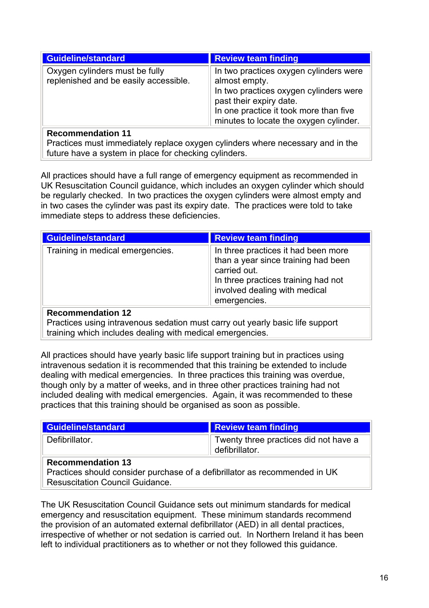| <b>Guideline/standard</b>                                               | <b>Review team finding</b>                                                                                                                                                                                       |
|-------------------------------------------------------------------------|------------------------------------------------------------------------------------------------------------------------------------------------------------------------------------------------------------------|
| Oxygen cylinders must be fully<br>replenished and be easily accessible. | In two practices oxygen cylinders were<br>almost empty.<br>In two practices oxygen cylinders were<br>past their expiry date.<br>In one practice it took more than five<br>minutes to locate the oxygen cylinder. |
| Desamunan detan 44                                                      |                                                                                                                                                                                                                  |

### **Recommendation 11**

Practices must immediately replace oxygen cylinders where necessary and in the future have a system in place for checking cylinders.

All practices should have a full range of emergency equipment as recommended in UK Resuscitation Council guidance, which includes an oxygen cylinder which should be regularly checked. In two practices the oxygen cylinders were almost empty and in two cases the cylinder was past its expiry date. The practices were told to take immediate steps to address these deficiencies.

| <b>Guideline/standard</b>                                                                                        | <b>Review team finding</b>                                                                                                                                                         |  |
|------------------------------------------------------------------------------------------------------------------|------------------------------------------------------------------------------------------------------------------------------------------------------------------------------------|--|
| Training in medical emergencies.                                                                                 | In three practices it had been more<br>than a year since training had been<br>carried out.<br>In three practices training had not<br>involved dealing with medical<br>emergencies. |  |
| <b>Recommendation 12</b><br><b>Dractices using intraveneus sodation must carry out vearly basis life support</b> |                                                                                                                                                                                    |  |

Practices using intravenous sedation must carry out yearly basic life support training which includes dealing with medical emergencies.

All practices should have yearly basic life support training but in practices using intravenous sedation it is recommended that this training be extended to include dealing with medical emergencies. In three practices this training was overdue, though only by a matter of weeks, and in three other practices training had not included dealing with medical emergencies. Again, it was recommended to these practices that this training should be organised as soon as possible.

| <b>Guideline/standard</b>                                                                              | Review team finding                                     |  |
|--------------------------------------------------------------------------------------------------------|---------------------------------------------------------|--|
| Defibrillator.                                                                                         | Twenty three practices did not have a<br>defibrillator. |  |
| <b>Recommendation 13</b><br>Practices should consider purchase of a defibrillator as recommended in UK |                                                         |  |
| <b>Resuscitation Council Guidance.</b>                                                                 |                                                         |  |

The UK Resuscitation Council Guidance sets out minimum standards for medical emergency and resuscitation equipment. These minimum standards recommend the provision of an automated external defibrillator (AED) in all dental practices, irrespective of whether or not sedation is carried out. In Northern Ireland it has been left to individual practitioners as to whether or not they followed this guidance.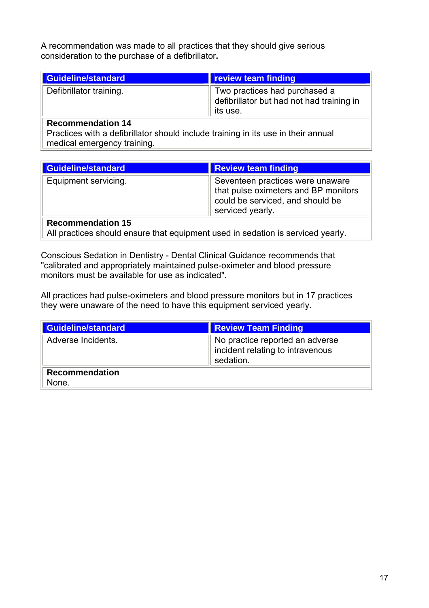A recommendation was made to all practices that they should give serious consideration to the purchase of a defibrillator**.** 

| Guideline/standard      | <b>review team finding</b>                                                             |
|-------------------------|----------------------------------------------------------------------------------------|
| Defibrillator training. | Two practices had purchased a<br>defibrillator but had not had training in<br>its use. |

### **Recommendation 14**

Practices with a defibrillator should include training in its use in their annual medical emergency training.

| <b>Guideline/standard</b>                                                                                   | <b>Review team finding</b>                                                                                                       |  |
|-------------------------------------------------------------------------------------------------------------|----------------------------------------------------------------------------------------------------------------------------------|--|
| Equipment servicing.                                                                                        | Seventeen practices were unaware<br>that pulse oximeters and BP monitors<br>could be serviced, and should be<br>serviced yearly. |  |
| <b>Recommendation 15</b><br>All practices should ensure that equipment used in sedation is serviced yearly. |                                                                                                                                  |  |

Conscious Sedation in Dentistry - Dental Clinical Guidance recommends that "calibrated and appropriately maintained pulse-oximeter and blood pressure monitors must be available for use as indicated".

All practices had pulse-oximeters and blood pressure monitors but in 17 practices they were unaware of the need to have this equipment serviced yearly.

| <b>Guideline/standard</b>      | Review Team Finding                                                              |  |
|--------------------------------|----------------------------------------------------------------------------------|--|
| Adverse Incidents.             | No practice reported an adverse<br>incident relating to intravenous<br>sedation. |  |
| <b>Recommendation</b><br>None. |                                                                                  |  |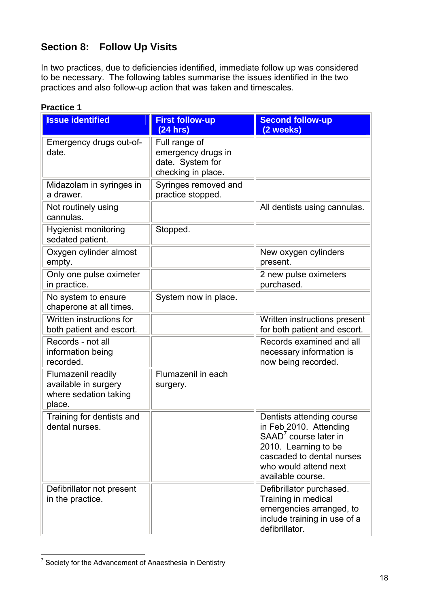# **Section 8: Follow Up Visits**

In two practices, due to deficiencies identified, immediate follow up was considered to be necessary. The following tables summarise the issues identified in the two practices and also follow-up action that was taken and timescales.

| <b>Issue identified</b>                                                       | <b>First follow-up</b>                                                        | <b>Second follow-up</b>                                                                                                                                                                     |  |
|-------------------------------------------------------------------------------|-------------------------------------------------------------------------------|---------------------------------------------------------------------------------------------------------------------------------------------------------------------------------------------|--|
|                                                                               | (24 hrs)                                                                      | (2 weeks)                                                                                                                                                                                   |  |
| Emergency drugs out-of-<br>date.                                              | Full range of<br>emergency drugs in<br>date. System for<br>checking in place. |                                                                                                                                                                                             |  |
| Midazolam in syringes in<br>a drawer.                                         | Syringes removed and<br>practice stopped.                                     |                                                                                                                                                                                             |  |
| Not routinely using<br>cannulas.                                              |                                                                               | All dentists using cannulas.                                                                                                                                                                |  |
| <b>Hygienist monitoring</b><br>sedated patient.                               | Stopped.                                                                      |                                                                                                                                                                                             |  |
| Oxygen cylinder almost<br>empty.                                              |                                                                               | New oxygen cylinders<br>present.                                                                                                                                                            |  |
| Only one pulse oximeter<br>in practice.                                       |                                                                               | 2 new pulse oximeters<br>purchased.                                                                                                                                                         |  |
| No system to ensure<br>chaperone at all times.                                | System now in place.                                                          |                                                                                                                                                                                             |  |
| Written instructions for<br>both patient and escort.                          |                                                                               | Written instructions present<br>for both patient and escort.                                                                                                                                |  |
| Records - not all<br>information being<br>recorded.                           |                                                                               | Records examined and all<br>necessary information is<br>now being recorded.                                                                                                                 |  |
| Flumazenil readily<br>available in surgery<br>where sedation taking<br>place. | Flumazenil in each<br>surgery.                                                |                                                                                                                                                                                             |  |
| Training for dentists and<br>dental nurses.                                   |                                                                               | Dentists attending course<br>in Feb 2010. Attending<br>SAAD <sup>7</sup> course later in<br>2010. Learning to be<br>cascaded to dental nurses<br>who would attend next<br>available course. |  |
| Defibrillator not present<br>in the practice.                                 |                                                                               | Defibrillator purchased.<br>Training in medical<br>emergencies arranged, to<br>include training in use of a<br>defibrillator.                                                               |  |

### **Practice 1**

**EXEC<sub>7</sub>** Society for the Advancement of Anaesthesia in Dentistry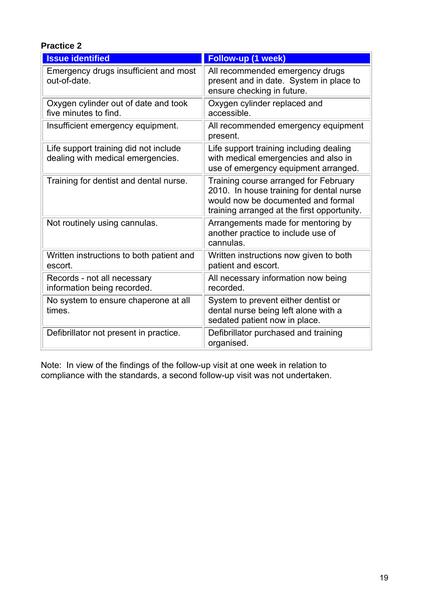### **Practice 2**

| <b>Issue identified</b>                                                    | Follow-up (1 week)                                                                                                                                                     |  |  |
|----------------------------------------------------------------------------|------------------------------------------------------------------------------------------------------------------------------------------------------------------------|--|--|
| Emergency drugs insufficient and most<br>out-of-date.                      | All recommended emergency drugs<br>present and in date. System in place to<br>ensure checking in future.                                                               |  |  |
| Oxygen cylinder out of date and took<br>five minutes to find.              | Oxygen cylinder replaced and<br>accessible.                                                                                                                            |  |  |
| Insufficient emergency equipment.                                          | All recommended emergency equipment<br>present.                                                                                                                        |  |  |
| Life support training did not include<br>dealing with medical emergencies. | Life support training including dealing<br>with medical emergencies and also in<br>use of emergency equipment arranged.                                                |  |  |
| Training for dentist and dental nurse.                                     | Training course arranged for February<br>2010. In house training for dental nurse<br>would now be documented and formal<br>training arranged at the first opportunity. |  |  |
| Not routinely using cannulas.                                              | Arrangements made for mentoring by<br>another practice to include use of<br>cannulas.                                                                                  |  |  |
| Written instructions to both patient and<br>escort.                        | Written instructions now given to both<br>patient and escort.                                                                                                          |  |  |
| Records - not all necessary<br>information being recorded.                 | All necessary information now being<br>recorded.                                                                                                                       |  |  |
| No system to ensure chaperone at all<br>times.                             | System to prevent either dentist or<br>dental nurse being left alone with a<br>sedated patient now in place.                                                           |  |  |
| Defibrillator not present in practice.                                     | Defibrillator purchased and training<br>organised.                                                                                                                     |  |  |

Note: In view of the findings of the follow-up visit at one week in relation to compliance with the standards, a second follow-up visit was not undertaken.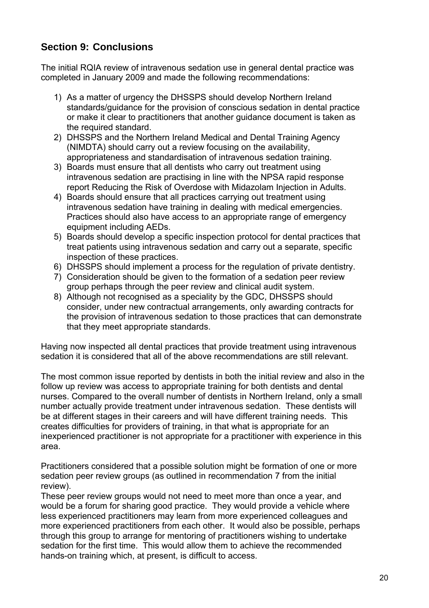# **Section 9: Conclusions**

The initial RQIA review of intravenous sedation use in general dental practice was completed in January 2009 and made the following recommendations:

- 1) As a matter of urgency the DHSSPS should develop Northern Ireland standards/guidance for the provision of conscious sedation in dental practice or make it clear to practitioners that another guidance document is taken as the required standard.
- 2) DHSSPS and the Northern Ireland Medical and Dental Training Agency (NIMDTA) should carry out a review focusing on the availability, appropriateness and standardisation of intravenous sedation training.
- 3) Boards must ensure that all dentists who carry out treatment using intravenous sedation are practising in line with the NPSA rapid response report Reducing the Risk of Overdose with Midazolam Injection in Adults.
- 4) Boards should ensure that all practices carrying out treatment using intravenous sedation have training in dealing with medical emergencies. Practices should also have access to an appropriate range of emergency equipment including AEDs.
- 5) Boards should develop a specific inspection protocol for dental practices that treat patients using intravenous sedation and carry out a separate, specific inspection of these practices.
- 6) DHSSPS should implement a process for the regulation of private dentistry.
- 7) Consideration should be given to the formation of a sedation peer review group perhaps through the peer review and clinical audit system.
- 8) Although not recognised as a speciality by the GDC, DHSSPS should consider, under new contractual arrangements, only awarding contracts for the provision of intravenous sedation to those practices that can demonstrate that they meet appropriate standards.

Having now inspected all dental practices that provide treatment using intravenous sedation it is considered that all of the above recommendations are still relevant.

The most common issue reported by dentists in both the initial review and also in the follow up review was access to appropriate training for both dentists and dental nurses. Compared to the overall number of dentists in Northern Ireland, only a small number actually provide treatment under intravenous sedation. These dentists will be at different stages in their careers and will have different training needs. This creates difficulties for providers of training, in that what is appropriate for an inexperienced practitioner is not appropriate for a practitioner with experience in this area.

Practitioners considered that a possible solution might be formation of one or more sedation peer review groups (as outlined in recommendation 7 from the initial review).

These peer review groups would not need to meet more than once a year, and would be a forum for sharing good practice. They would provide a vehicle where less experienced practitioners may learn from more experienced colleagues and more experienced practitioners from each other. It would also be possible, perhaps through this group to arrange for mentoring of practitioners wishing to undertake sedation for the first time. This would allow them to achieve the recommended hands-on training which, at present, is difficult to access.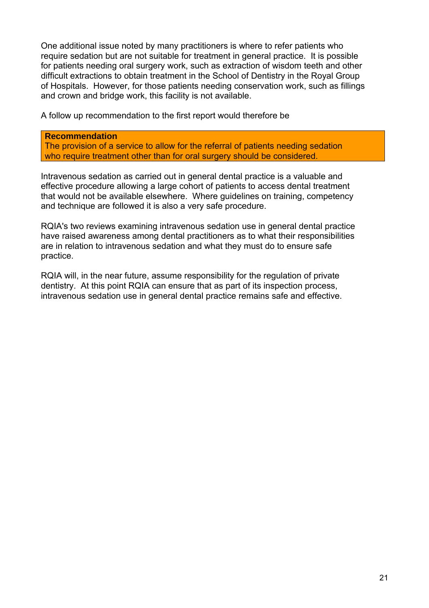One additional issue noted by many practitioners is where to refer patients who require sedation but are not suitable for treatment in general practice. It is possible for patients needing oral surgery work, such as extraction of wisdom teeth and other difficult extractions to obtain treatment in the School of Dentistry in the Royal Group of Hospitals. However, for those patients needing conservation work, such as fillings and crown and bridge work, this facility is not available.

A follow up recommendation to the first report would therefore be

#### **Recommendation**

The provision of a service to allow for the referral of patients needing sedation who require treatment other than for oral surgery should be considered.

Intravenous sedation as carried out in general dental practice is a valuable and effective procedure allowing a large cohort of patients to access dental treatment that would not be available elsewhere. Where guidelines on training, competency and technique are followed it is also a very safe procedure.

RQIA's two reviews examining intravenous sedation use in general dental practice have raised awareness among dental practitioners as to what their responsibilities are in relation to intravenous sedation and what they must do to ensure safe practice.

RQIA will, in the near future, assume responsibility for the regulation of private dentistry. At this point RQIA can ensure that as part of its inspection process, intravenous sedation use in general dental practice remains safe and effective.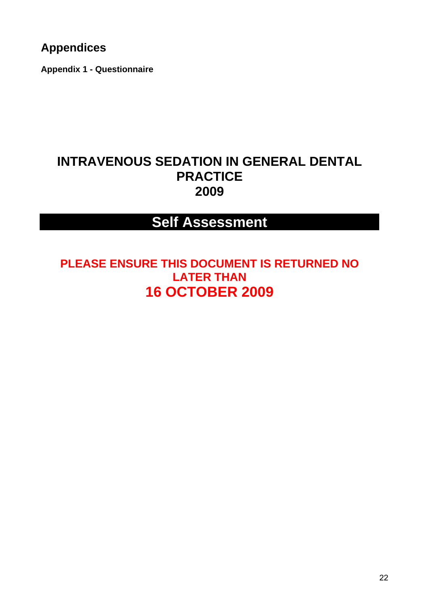# **Appendices**

**Appendix 1 - Questionnaire**

# **INTRAVENOUS SEDATION IN GENERAL DENTAL PRACTICE 2009**

# **Self Assessment**

**PLEASE ENSURE THIS DOCUMENT IS RETURNED NO LATER THAN 16 OCTOBER 2009**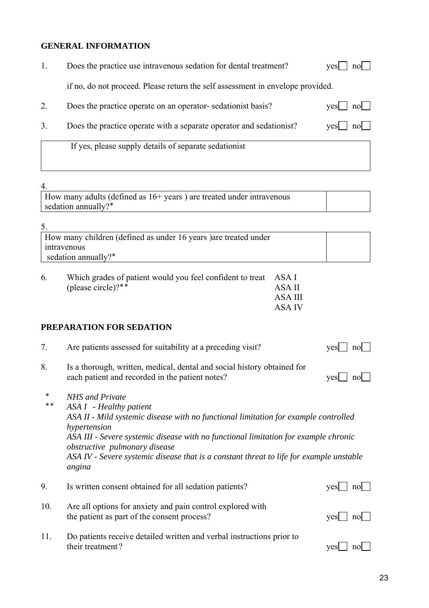#### **GENERAL INFORMATION**

| Does the practice use intravenous sedation for dental treatment?               | $yes \Box no \Box$ |
|--------------------------------------------------------------------------------|--------------------|
| if no, do not proceed. Please return the self assessment in envelope provided. |                    |

|  | Does the practice operate on an operator-sedationist basis? | $yes \fbox{} no \fbox{}$ |  |
|--|-------------------------------------------------------------|--------------------------|--|
|  |                                                             |                          |  |

3. Does the practice operate with a separate operator and sedationist?  $yes$  no  $\Box$ 

If yes, please supply details of separate sedationist

#### 4.

How many adults (defined as 16+ years ) are treated under intravenous sedation annually?\*

| How many children (defined as under 16 years) are treated under |  |
|-----------------------------------------------------------------|--|
| intravenous                                                     |  |
| sedation annually?*                                             |  |

| 6. | Which grades of patient would you feel confident to treat ASA I |         |
|----|-----------------------------------------------------------------|---------|
|    | (please circle)? $*$                                            | ASA II  |
|    |                                                                 | ASA III |
|    |                                                                 | ASA IV  |

#### **PREPARATION FOR SEDATION**

| 7.  | Are patients assessed for suitability at a preceding visit?                                                                                                                                                                                                                                                                                                                                  | ves<br>n <sub>0</sub> |
|-----|----------------------------------------------------------------------------------------------------------------------------------------------------------------------------------------------------------------------------------------------------------------------------------------------------------------------------------------------------------------------------------------------|-----------------------|
| 8.  | Is a thorough, written, medical, dental and social history obtained for<br>each patient and recorded in the patient notes?                                                                                                                                                                                                                                                                   | <b>ves</b><br>nol     |
|     | <b>NHS</b> and Private<br>ASA I - Healthy patient<br>ASA II - Mild systemic disease with no functional limitation for example controlled<br>hypertension<br>ASA III - Severe systemic disease with no functional limitation for example chronic<br><i>obstructive pulmonary disease</i><br>ASA IV - Severe systemic disease that is a constant threat to life for example unstable<br>angina |                       |
| 9.  | Is written consent obtained for all sedation patients?                                                                                                                                                                                                                                                                                                                                       | ves<br>nol            |
| 10. | Are all options for anxiety and pain control explored with<br>the patient as part of the consent process?                                                                                                                                                                                                                                                                                    | ves<br>no             |
| 11. | Do patients receive detailed written and verbal instructions prior to<br>their treatment?                                                                                                                                                                                                                                                                                                    | ves<br>no             |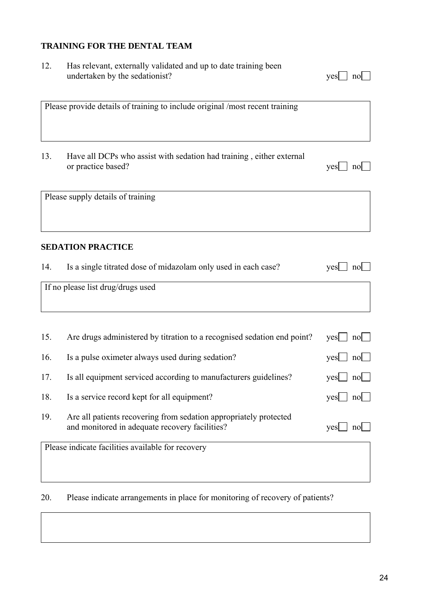### **TRAINING FOR THE DENTAL TEAM**

12. Has relevant, externally validated and up to date training been

|     | undertaken by the sedationist?                                                                                      | no<br>yes                 |
|-----|---------------------------------------------------------------------------------------------------------------------|---------------------------|
|     |                                                                                                                     |                           |
|     | Please provide details of training to include original /most recent training                                        |                           |
|     |                                                                                                                     |                           |
|     |                                                                                                                     |                           |
| 13. | Have all DCPs who assist with sedation had training, either external                                                |                           |
|     | or practice based?                                                                                                  | yes<br>$\vert$ no $\vert$ |
|     |                                                                                                                     |                           |
|     | Please supply details of training                                                                                   |                           |
|     |                                                                                                                     |                           |
|     |                                                                                                                     |                           |
|     | <b>SEDATION PRACTICE</b>                                                                                            |                           |
|     |                                                                                                                     |                           |
| 14. | Is a single titrated dose of midazolam only used in each case?                                                      | $yes \mid no \mid$        |
|     | If no please list drug/drugs used                                                                                   |                           |
|     |                                                                                                                     |                           |
|     |                                                                                                                     |                           |
| 15. | Are drugs administered by titration to a recognised sedation end point?                                             | $\mathrm{yes}$   no       |
|     |                                                                                                                     |                           |
| 16. | Is a pulse oximeter always used during sedation?                                                                    | yes<br>$\mathsf{no}$      |
| 17. | Is all equipment serviced according to manufacturers guidelines?                                                    | $yes \perp no \perp$      |
| 18. | Is a service record kept for all equipment?                                                                         | $yes \Box no \Box$        |
|     |                                                                                                                     |                           |
| 19. | Are all patients recovering from sedation appropriately protected<br>and monitored in adequate recovery facilities? | yes<br>$\text{no}$        |
|     |                                                                                                                     |                           |
|     | Please indicate facilities available for recovery                                                                   |                           |
|     |                                                                                                                     |                           |
|     |                                                                                                                     |                           |

20. Please indicate arrangements in place for monitoring of recovery of patients?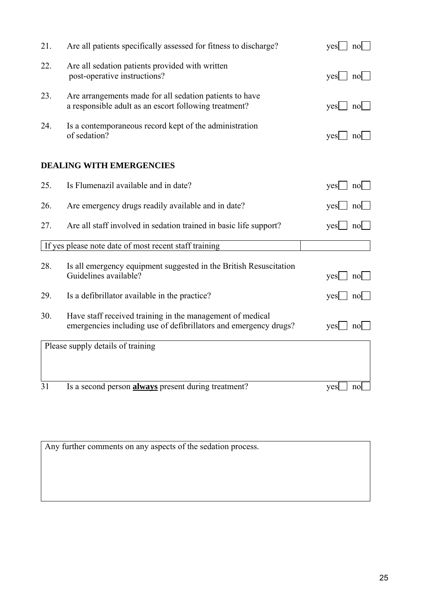| 21. | Are all patients specifically assessed for fitness to discharge?                                                              | yes<br>nol                         |
|-----|-------------------------------------------------------------------------------------------------------------------------------|------------------------------------|
| 22. | Are all sedation patients provided with written<br>post-operative instructions?                                               | yes<br>nol                         |
| 23. | Are arrangements made for all sedation patients to have<br>a responsible adult as an escort following treatment?              | yes<br>$\lfloor n \cdot \rfloor$   |
| 24. | Is a contemporaneous record kept of the administration<br>of sedation?                                                        | yes<br>no                          |
|     | <b>DEALING WITH EMERGENCIES</b>                                                                                               |                                    |
| 25. | Is Flumenazil available and in date?                                                                                          | $\vert$ no $\vert$<br>yes          |
| 26. | Are emergency drugs readily available and in date?                                                                            | yes<br>no                          |
| 27. | Are all staff involved in sedation trained in basic life support?                                                             | yes  <br>$\lfloor n \circ \rfloor$ |
|     | If yes please note date of most recent staff training                                                                         |                                    |
| 28. | Is all emergency equipment suggested in the British Resuscitation<br>Guidelines available?                                    | yes<br>$\vert$ no $\vert$          |
| 29. | Is a defibrillator available in the practice?                                                                                 | yes<br>no                          |
| 30. | Have staff received training in the management of medical<br>emergencies including use of defibrillators and emergency drugs? | $\lfloor n \cdot \rfloor$<br>yes   |
|     | Please supply details of training                                                                                             |                                    |
|     |                                                                                                                               |                                    |
|     |                                                                                                                               |                                    |

31 Is a second person **always** present during treatment? yes no

Any further comments on any aspects of the sedation process.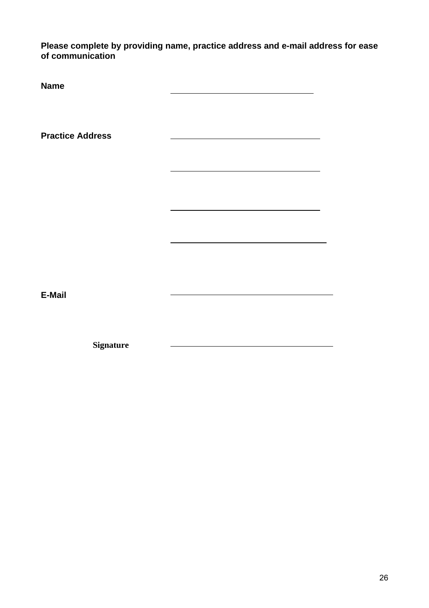**Please complete by providing name, practice address and e-mail address for ease of communication** 

**Name Practice Address**   $\sim$ **E-Mail** 

<u> Alexandria de la contrada de la contrada de la contrada de la contrada de la contrada de la contrada de la c</u>

**Signature**